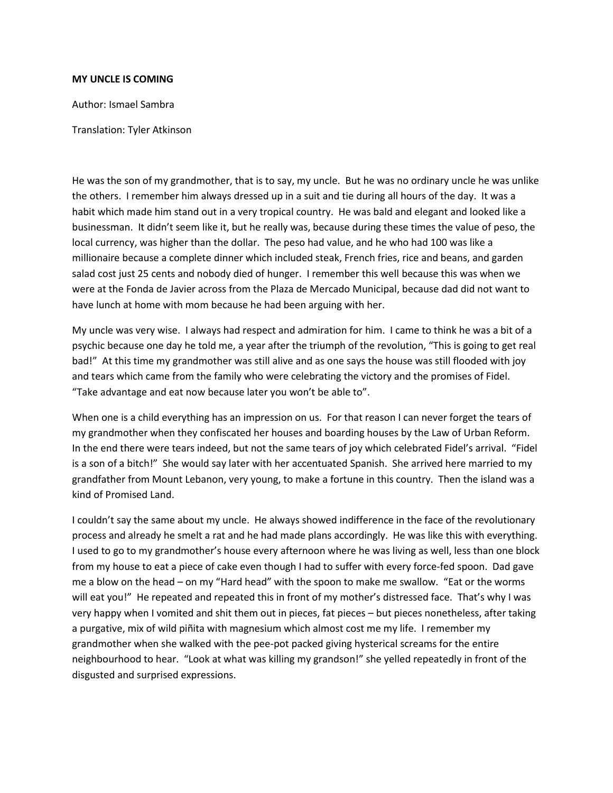## **MY UNCLE IS COMING**

Author: Ismael Sambra

Translation: Tyler Atkinson

He was the son of my grandmother, that is to say, my uncle. But he was no ordinary uncle he was unlike the others. I remember him always dressed up in a suit and tie during all hours of the day. It was a habit which made him stand out in a very tropical country. He was bald and elegant and looked like a businessman. It didn't seem like it, but he really was, because during these times the value of peso, the local currency, was higher than the dollar. The peso had value, and he who had 100 was like a millionaire because a complete dinner which included steak, French fries, rice and beans, and garden salad cost just 25 cents and nobody died of hunger. I remember this well because this was when we were at the Fonda de Javier across from the Plaza de Mercado Municipal, because dad did not want to have lunch at home with mom because he had been arguing with her.

My uncle was very wise. I always had respect and admiration for him. I came to think he was a bit of a psychic because one day he told me, a year after the triumph of the revolution, "This is going to get real bad!" At this time my grandmother was still alive and as one says the house was still flooded with joy and tears which came from the family who were celebrating the victory and the promises of Fidel. "Take advantage and eat now because later you won't be able to".

When one is a child everything has an impression on us. For that reason I can never forget the tears of my grandmother when they confiscated her houses and boarding houses by the Law of Urban Reform. In the end there were tears indeed, but not the same tears of joy which celebrated Fidel's arrival. "Fidel is a son of a bitch!" She would say later with her accentuated Spanish. She arrived here married to my grandfather from Mount Lebanon, very young, to make a fortune in this country. Then the island was a kind of Promised Land.

I couldn't say the same about my uncle. He always showed indifference in the face of the revolutionary process and already he smelt a rat and he had made plans accordingly. He was like this with everything. I used to go to my grandmother's house every afternoon where he was living as well, less than one block from my house to eat a piece of cake even though I had to suffer with every force-fed spoon. Dad gave me a blow on the head – on my "Hard head" with the spoon to make me swallow. "Eat or the worms will eat you!" He repeated and repeated this in front of my mother's distressed face. That's why I was very happy when I vomited and shit them out in pieces, fat pieces – but pieces nonetheless, after taking a purgative, mix of wild piñita with magnesium which almost cost me my life. I remember my grandmother when she walked with the pee-pot packed giving hysterical screams for the entire neighbourhood to hear. "Look at what was killing my grandson!" she yelled repeatedly in front of the disgusted and surprised expressions.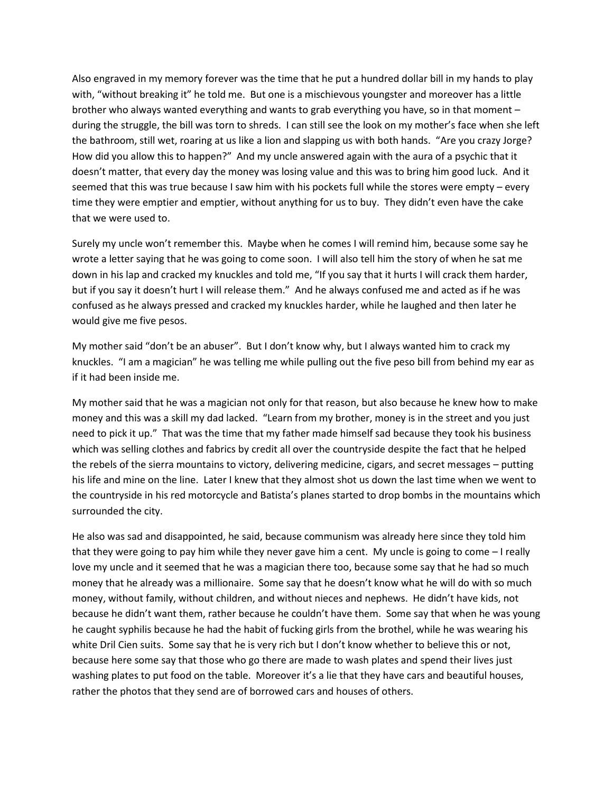Also engraved in my memory forever was the time that he put a hundred dollar bill in my hands to play with, "without breaking it" he told me. But one is a mischievous youngster and moreover has a little brother who always wanted everything and wants to grab everything you have, so in that moment – during the struggle, the bill was torn to shreds. I can still see the look on my mother's face when she left the bathroom, still wet, roaring at us like a lion and slapping us with both hands. "Are you crazy Jorge? How did you allow this to happen?" And my uncle answered again with the aura of a psychic that it doesn't matter, that every day the money was losing value and this was to bring him good luck. And it seemed that this was true because I saw him with his pockets full while the stores were empty – every time they were emptier and emptier, without anything for us to buy. They didn't even have the cake that we were used to.

Surely my uncle won't remember this. Maybe when he comes I will remind him, because some say he wrote a letter saying that he was going to come soon. I will also tell him the story of when he sat me down in his lap and cracked my knuckles and told me, "If you say that it hurts I will crack them harder, but if you say it doesn't hurt I will release them." And he always confused me and acted as if he was confused as he always pressed and cracked my knuckles harder, while he laughed and then later he would give me five pesos.

My mother said "don't be an abuser". But I don't know why, but I always wanted him to crack my knuckles. "I am a magician" he was telling me while pulling out the five peso bill from behind my ear as if it had been inside me.

My mother said that he was a magician not only for that reason, but also because he knew how to make money and this was a skill my dad lacked. "Learn from my brother, money is in the street and you just need to pick it up." That was the time that my father made himself sad because they took his business which was selling clothes and fabrics by credit all over the countryside despite the fact that he helped the rebels of the sierra mountains to victory, delivering medicine, cigars, and secret messages – putting his life and mine on the line. Later I knew that they almost shot us down the last time when we went to the countryside in his red motorcycle and Batista's planes started to drop bombs in the mountains which surrounded the city.

He also was sad and disappointed, he said, because communism was already here since they told him that they were going to pay him while they never gave him a cent. My uncle is going to come – I really love my uncle and it seemed that he was a magician there too, because some say that he had so much money that he already was a millionaire. Some say that he doesn't know what he will do with so much money, without family, without children, and without nieces and nephews. He didn't have kids, not because he didn't want them, rather because he couldn't have them. Some say that when he was young he caught syphilis because he had the habit of fucking girls from the brothel, while he was wearing his white Dril Cien suits. Some say that he is very rich but I don't know whether to believe this or not, because here some say that those who go there are made to wash plates and spend their lives just washing plates to put food on the table. Moreover it's a lie that they have cars and beautiful houses, rather the photos that they send are of borrowed cars and houses of others.